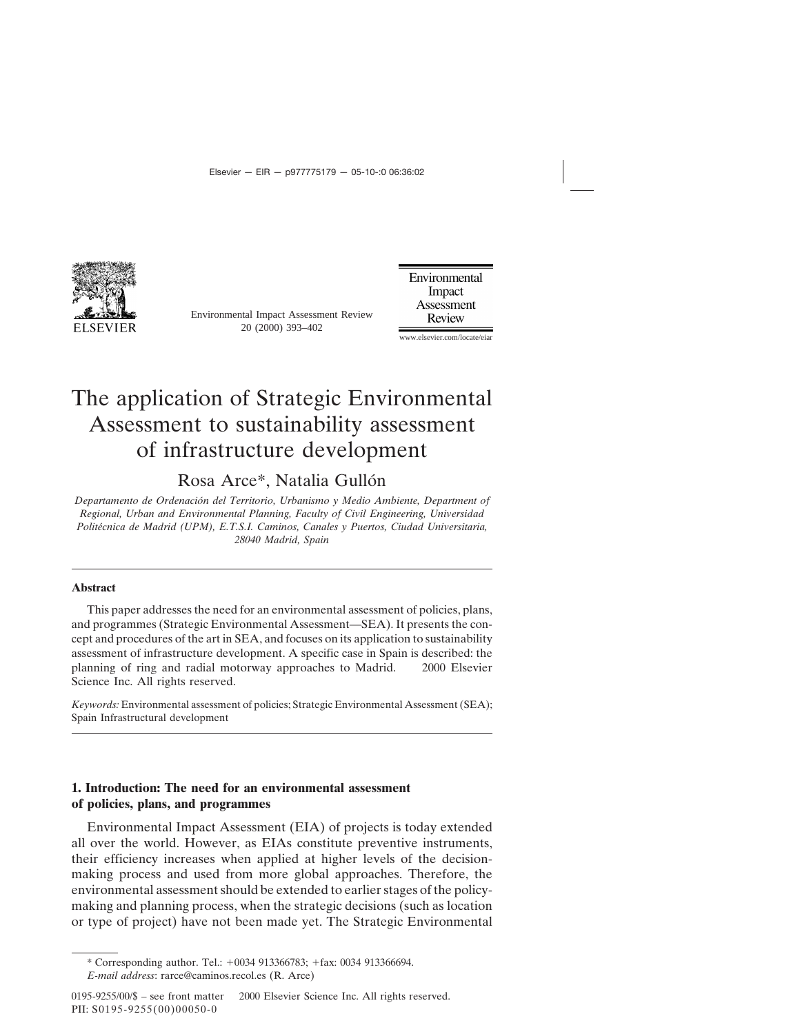

Environmental Impact Assessment Review 20 (2000) 393–402

Environmental Impact Assessment Review

www.elsevier.com/locate/eiar

## The application of Strategic Environmental Assessment to sustainability assessment of infrastructure development

Rosa Arce\*, Natalia Gullón

*Departamento de Ordenacio´n del Territorio, Urbanismo y Medio Ambiente, Department of Regional, Urban and Environmental Planning, Faculty of Civil Engineering, Universidad Polite´cnica de Madrid (UPM), E.T.S.I. Caminos, Canales y Puertos, Ciudad Universitaria, 28040 Madrid, Spain*

#### **Abstract**

This paper addresses the need for an environmental assessment of policies, plans, and programmes (Strategic Environmental Assessment—SEA). It presents the concept and procedures of the art in SEA, and focuses on its application to sustainability assessment of infrastructure development. A specific case in Spain is described: the planning of ring and radial motorway approaches to Madrid.  $\oslash$  2000 Elsevier Science Inc. All rights reserved.

*Keywords:* Environmental assessment of policies; Strategic Environmental Assessment (SEA); Spain Infrastructural development

### **1. Introduction: The need for an environmental assessment of policies, plans, and programmes**

Environmental Impact Assessment (EIA) of projects is today extended all over the world. However, as EIAs constitute preventive instruments, their efficiency increases when applied at higher levels of the decisionmaking process and used from more global approaches. Therefore, the environmental assessment should be extended to earlier stages of the policymaking and planning process, when the strategic decisions (such as location or type of project) have not been made yet. The Strategic Environmental

<sup>\*</sup> Corresponding author. Tel.: +0034 913366783; +fax: 0034 913366694. *E-mail address*: rarce@caminos.recol.es (R. Arce)

 $0195-9255/00/\$$  – see front matter  $\odot$  2000 Elsevier Science Inc. All rights reserved. PII: S0195-9255(00)00050-0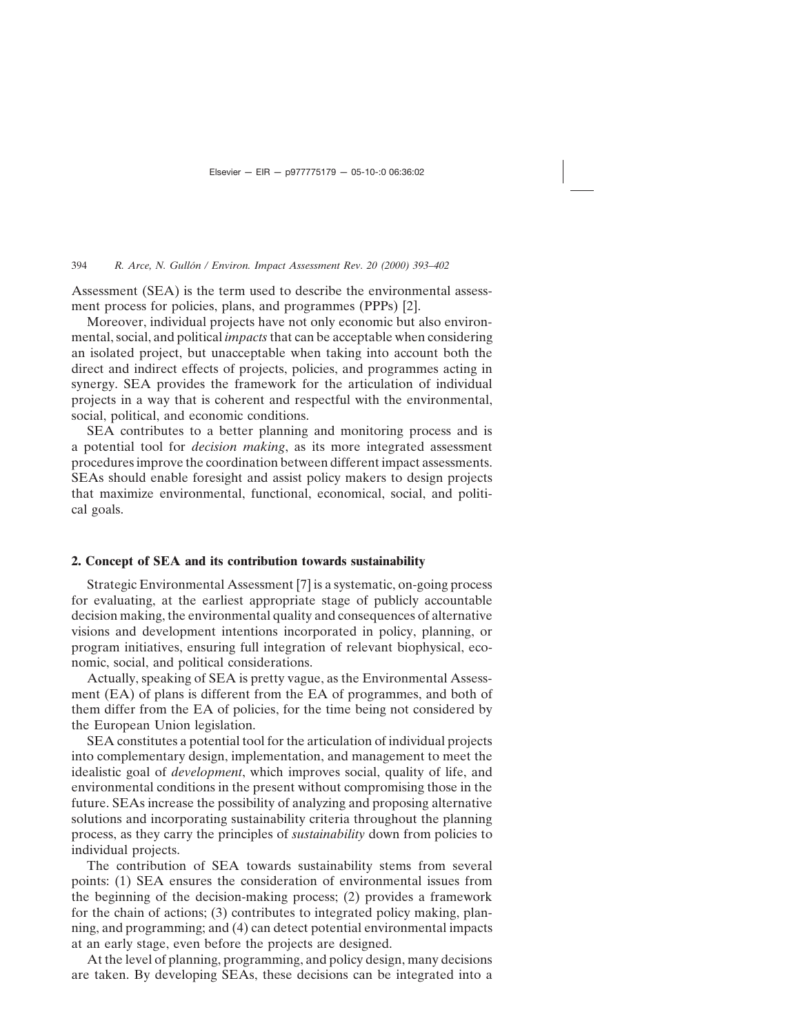Assessment (SEA) is the term used to describe the environmental assessment process for policies, plans, and programmes (PPPs) [2].

Moreover, individual projects have not only economic but also environmental, social, and political *impacts*that can be acceptable when considering an isolated project, but unacceptable when taking into account both the direct and indirect effects of projects, policies, and programmes acting in synergy. SEA provides the framework for the articulation of individual projects in a way that is coherent and respectful with the environmental, social, political, and economic conditions.

SEA contributes to a better planning and monitoring process and is a potential tool for *decision making*, as its more integrated assessment procedures improve the coordination between different impact assessments. SEAs should enable foresight and assist policy makers to design projects that maximize environmental, functional, economical, social, and political goals.

### **2. Concept of SEA and its contribution towards sustainability**

Strategic Environmental Assessment [7] is a systematic, on-going process for evaluating, at the earliest appropriate stage of publicly accountable decision making, the environmental quality and consequences of alternative visions and development intentions incorporated in policy, planning, or program initiatives, ensuring full integration of relevant biophysical, economic, social, and political considerations.

Actually, speaking of SEA is pretty vague, as the Environmental Assessment (EA) of plans is different from the EA of programmes, and both of them differ from the EA of policies, for the time being not considered by the European Union legislation.

SEA constitutes a potential tool for the articulation of individual projects into complementary design, implementation, and management to meet the idealistic goal of *development*, which improves social, quality of life, and environmental conditions in the present without compromising those in the future. SEAs increase the possibility of analyzing and proposing alternative solutions and incorporating sustainability criteria throughout the planning process, as they carry the principles of *sustainability* down from policies to individual projects.

The contribution of SEA towards sustainability stems from several points: (1) SEA ensures the consideration of environmental issues from the beginning of the decision-making process; (2) provides a framework for the chain of actions; (3) contributes to integrated policy making, planning, and programming; and (4) can detect potential environmental impacts at an early stage, even before the projects are designed.

At the level of planning, programming, and policy design, many decisions are taken. By developing SEAs, these decisions can be integrated into a